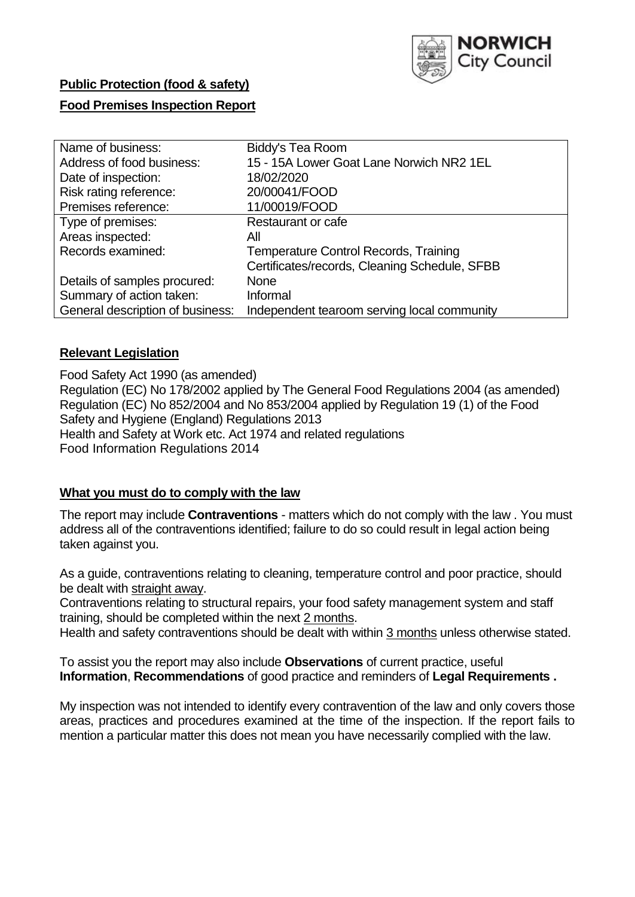

# **Public Protection (food & safety)**

## **Food Premises Inspection Report**

| Name of business:                | Biddy's Tea Room                              |
|----------------------------------|-----------------------------------------------|
| Address of food business:        | 15 - 15A Lower Goat Lane Norwich NR2 1EL      |
| Date of inspection:              | 18/02/2020                                    |
| Risk rating reference:           | 20/00041/FOOD                                 |
| Premises reference:              | 11/00019/FOOD                                 |
| Type of premises:                | Restaurant or cafe                            |
| Areas inspected:                 | All                                           |
| Records examined:                | Temperature Control Records, Training         |
|                                  | Certificates/records, Cleaning Schedule, SFBB |
| Details of samples procured:     | <b>None</b>                                   |
| Summary of action taken:         | Informal                                      |
| General description of business: | Independent tearoom serving local community   |

## **Relevant Legislation**

Food Safety Act 1990 (as amended) Regulation (EC) No 178/2002 applied by The General Food Regulations 2004 (as amended) Regulation (EC) No 852/2004 and No 853/2004 applied by Regulation 19 (1) of the Food Safety and Hygiene (England) Regulations 2013 Health and Safety at Work etc. Act 1974 and related regulations Food Information Regulations 2014

#### **What you must do to comply with the law**

The report may include **Contraventions** - matters which do not comply with the law . You must address all of the contraventions identified; failure to do so could result in legal action being taken against you.

As a guide, contraventions relating to cleaning, temperature control and poor practice, should be dealt with straight away.

Contraventions relating to structural repairs, your food safety management system and staff training, should be completed within the next 2 months.

Health and safety contraventions should be dealt with within 3 months unless otherwise stated.

To assist you the report may also include **Observations** of current practice, useful **Information**, **Recommendations** of good practice and reminders of **Legal Requirements .**

My inspection was not intended to identify every contravention of the law and only covers those areas, practices and procedures examined at the time of the inspection. If the report fails to mention a particular matter this does not mean you have necessarily complied with the law.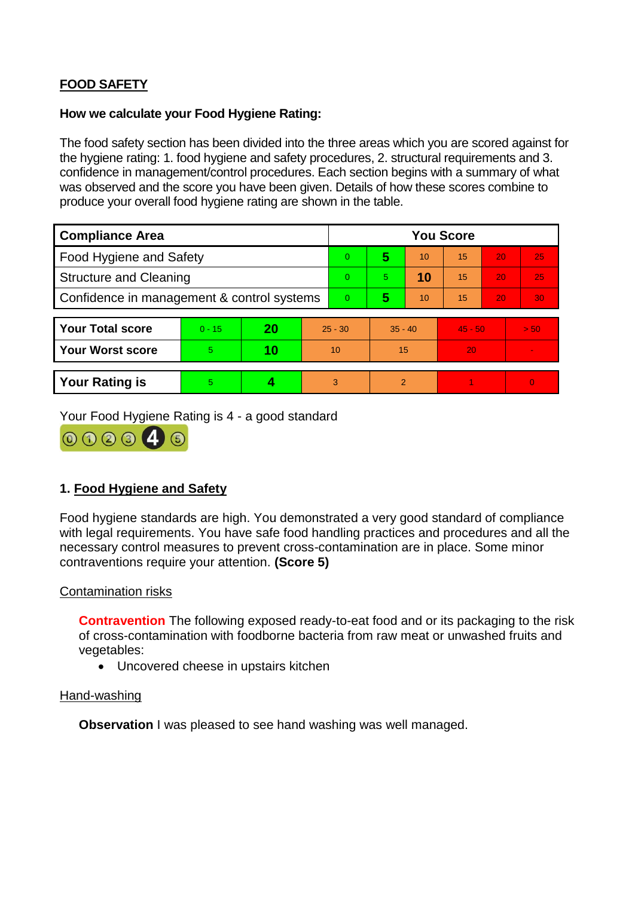# **FOOD SAFETY**

#### **How we calculate your Food Hygiene Rating:**

The food safety section has been divided into the three areas which you are scored against for the hygiene rating: 1. food hygiene and safety procedures, 2. structural requirements and 3. confidence in management/control procedures. Each section begins with a summary of what was observed and the score you have been given. Details of how these scores combine to produce your overall food hygiene rating are shown in the table.

| <b>Compliance Area</b>                     |          |    |           | <b>You Score</b> |                |    |           |    |                |  |  |
|--------------------------------------------|----------|----|-----------|------------------|----------------|----|-----------|----|----------------|--|--|
| Food Hygiene and Safety                    |          |    |           | $\Omega$         | 5              | 10 | 15        | 20 | 25             |  |  |
| <b>Structure and Cleaning</b>              |          |    |           | $\Omega$         | 5.             | 10 | 15        | 20 | 25             |  |  |
| Confidence in management & control systems |          |    |           | $\Omega$         | 5              | 10 | 15        | 20 | 30             |  |  |
|                                            |          |    |           |                  |                |    |           |    |                |  |  |
| <b>Your Total score</b>                    | $0 - 15$ | 20 | $25 - 30$ |                  | $35 - 40$      |    | $45 - 50$ |    | > 50           |  |  |
| <b>Your Worst score</b>                    | 5        | 10 | 10        |                  | 15             |    | 20        |    | $\blacksquare$ |  |  |
|                                            |          |    |           |                  |                |    |           |    |                |  |  |
| <b>Your Rating is</b>                      | 5        |    |           | 3                | $\overline{2}$ |    |           |    | $\overline{0}$ |  |  |

Your Food Hygiene Rating is 4 - a good standard



# **1. Food Hygiene and Safety**

Food hygiene standards are high. You demonstrated a very good standard of compliance with legal requirements. You have safe food handling practices and procedures and all the necessary control measures to prevent cross-contamination are in place. Some minor contraventions require your attention. **(Score 5)**

## Contamination risks

**Contravention** The following exposed ready-to-eat food and or its packaging to the risk of cross-contamination with foodborne bacteria from raw meat or unwashed fruits and vegetables:

• Uncovered cheese in upstairs kitchen

## Hand-washing

**Observation** I was pleased to see hand washing was well managed.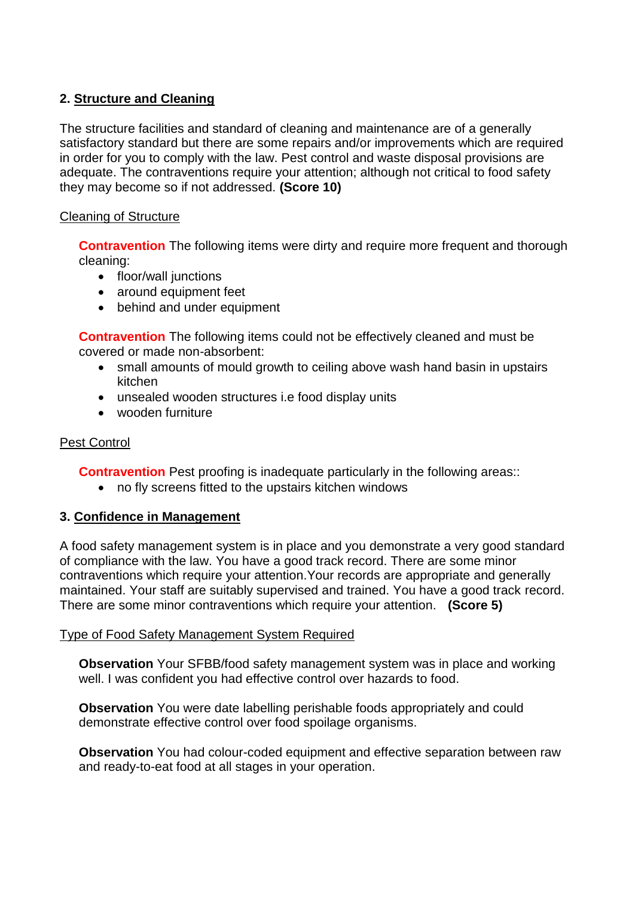# **2. Structure and Cleaning**

The structure facilities and standard of cleaning and maintenance are of a generally satisfactory standard but there are some repairs and/or improvements which are required in order for you to comply with the law. Pest control and waste disposal provisions are adequate. The contraventions require your attention: although not critical to food safety they may become so if not addressed. **(Score 10)**

## Cleaning of Structure

**Contravention** The following items were dirty and require more frequent and thorough cleaning:

- floor/wall junctions
- around equipment feet
- behind and under equipment

**Contravention** The following items could not be effectively cleaned and must be covered or made non-absorbent:

- small amounts of mould growth to ceiling above wash hand basin in upstairs kitchen
- unsealed wooden structures i.e food display units
- wooden furniture

## Pest Control

**Contravention** Pest proofing is inadequate particularly in the following areas::

no fly screens fitted to the upstairs kitchen windows

## **3. Confidence in Management**

A food safety management system is in place and you demonstrate a very good standard of compliance with the law. You have a good track record. There are some minor contraventions which require your attention.Your records are appropriate and generally maintained. Your staff are suitably supervised and trained. You have a good track record. There are some minor contraventions which require your attention. **(Score 5)**

## Type of Food Safety Management System Required

**Observation** Your SFBB/food safety management system was in place and working well. I was confident you had effective control over hazards to food.

**Observation** You were date labelling perishable foods appropriately and could demonstrate effective control over food spoilage organisms.

**Observation** You had colour-coded equipment and effective separation between raw and ready-to-eat food at all stages in your operation.